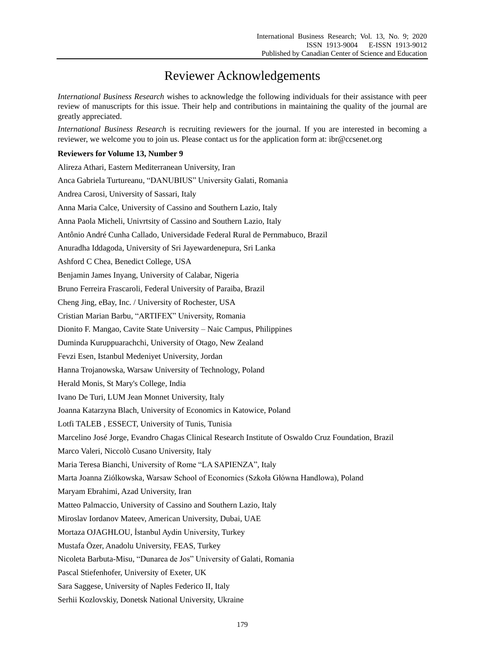## Reviewer Acknowledgements

*International Business Research* wishes to acknowledge the following individuals for their assistance with peer review of manuscripts for this issue. Their help and contributions in maintaining the quality of the journal are greatly appreciated.

*International Business Research* is recruiting reviewers for the journal. If you are interested in becoming a reviewer, we welcome you to join us. Please contact us for the application form at: ibr@ccsenet.org

## **Reviewers for Volume 13, Number 9**

| Alireza Athari, Eastern Mediterranean University, Iran                                               |
|------------------------------------------------------------------------------------------------------|
| Anca Gabriela Turtureanu, "DANUBIUS" University Galati, Romania                                      |
| Andrea Carosi, University of Sassari, Italy                                                          |
| Anna Maria Calce, University of Cassino and Southern Lazio, Italy                                    |
| Anna Paola Micheli, Univrtsity of Cassino and Southern Lazio, Italy                                  |
| Antônio André Cunha Callado, Universidade Federal Rural de Pernmabuco, Brazil                        |
| Anuradha Iddagoda, University of Sri Jayewardenepura, Sri Lanka                                      |
| Ashford C Chea, Benedict College, USA                                                                |
| Benjamin James Inyang, University of Calabar, Nigeria                                                |
| Bruno Ferreira Frascaroli, Federal University of Paraiba, Brazil                                     |
| Cheng Jing, eBay, Inc. / University of Rochester, USA                                                |
| Cristian Marian Barbu, "ARTIFEX" University, Romania                                                 |
| Dionito F. Mangao, Cavite State University - Naic Campus, Philippines                                |
| Duminda Kuruppuarachchi, University of Otago, New Zealand                                            |
| Fevzi Esen, Istanbul Medeniyet University, Jordan                                                    |
| Hanna Trojanowska, Warsaw University of Technology, Poland                                           |
| Herald Monis, St Mary's College, India                                                               |
| Ivano De Turi, LUM Jean Monnet University, Italy                                                     |
| Joanna Katarzyna Blach, University of Economics in Katowice, Poland                                  |
| Lotfi TALEB, ESSECT, University of Tunis, Tunisia                                                    |
| Marcelino Jos é Jorge, Evandro Chagas Clinical Research Institute of Oswaldo Cruz Foundation, Brazil |
| Marco Valeri, Niccol ò Cusano University, Italy                                                      |
| Maria Teresa Bianchi, University of Rome "LA SAPIENZA", Italy                                        |
| Marta Joanna Zi dkowska, Warsaw School of Economics (Szkoła Główna Handlowa), Poland                 |
| Maryam Ebrahimi, Azad University, Iran                                                               |
| Matteo Palmaccio, University of Cassino and Southern Lazio, Italy                                    |
| Miroslav Iordanov Mateev, American University, Dubai, UAE                                            |
| Mortaza OJAGHLOU, İstanbul Aydin University, Turkey                                                  |
| Mustafa Özer, Anadolu University, FEAS, Turkey                                                       |
| Nicoleta Barbuta-Misu, "Dunarea de Jos" University of Galati, Romania                                |
| Pascal Stiefenhofer, University of Exeter, UK                                                        |
| Sara Saggese, University of Naples Federico II, Italy                                                |
| Serhii Kozlovskiy, Donetsk National University, Ukraine                                              |